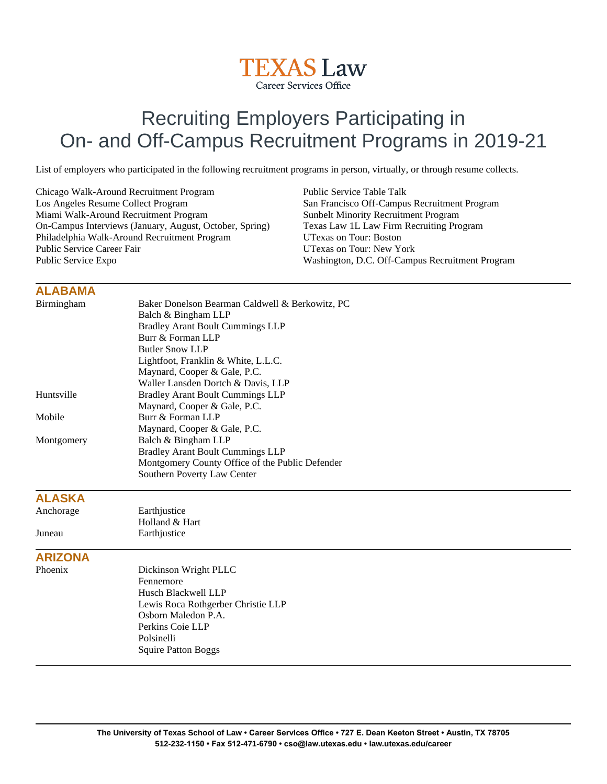

# Recruiting Employers Participating in On- and Off-Campus Recruitment Programs in 2019-21

List of employers who participated in the following recruitment programs in person, virtually, or through resume collects.

Chicago Walk-Around Recruitment Program Los Angeles Resume Collect Program Miami Walk-Around Recruitment Program On-Campus Interviews (January, August, October, Spring) Philadelphia Walk-Around Recruitment Program Public Service Career Fair Public Service Expo

Public Service Table Talk San Francisco Off-Campus Recruitment Program Sunbelt Minority Recruitment Program Texas Law 1L Law Firm Recruiting Program UTexas on Tour: Boston UTexas on Tour: New York Washington, D.C. Off-Campus Recruitment Program

#### **ALABAMA**

| Birmingham     | Baker Donelson Bearman Caldwell & Berkowitz, PC |
|----------------|-------------------------------------------------|
|                | Balch & Bingham LLP                             |
|                | <b>Bradley Arant Boult Cummings LLP</b>         |
|                | Burr & Forman LLP                               |
|                | <b>Butler Snow LLP</b>                          |
|                | Lightfoot, Franklin & White, L.L.C.             |
|                | Maynard, Cooper & Gale, P.C.                    |
|                | Waller Lansden Dortch & Davis, LLP              |
| Huntsville     | <b>Bradley Arant Boult Cummings LLP</b>         |
|                | Maynard, Cooper & Gale, P.C.                    |
| Mobile         | Burr & Forman LLP                               |
|                | Maynard, Cooper & Gale, P.C.                    |
| Montgomery     | Balch & Bingham LLP                             |
|                | <b>Bradley Arant Boult Cummings LLP</b>         |
|                | Montgomery County Office of the Public Defender |
|                | Southern Poverty Law Center                     |
| <b>ALASKA</b>  |                                                 |
| Anchorage      | Earthjustice                                    |
|                | Holland & Hart                                  |
| Juneau         | Earthjustice                                    |
| <b>ARIZONA</b> |                                                 |
| Phoenix        | Dickinson Wright PLLC                           |
|                | Fennemore                                       |
|                | Husch Blackwell LLP                             |
|                | Lewis Roca Rothgerber Christie LLP              |
|                | Osborn Maledon P.A.                             |
|                | Perkins Coie LLP                                |
|                | Polsinelli                                      |
|                | <b>Squire Patton Boggs</b>                      |
|                |                                                 |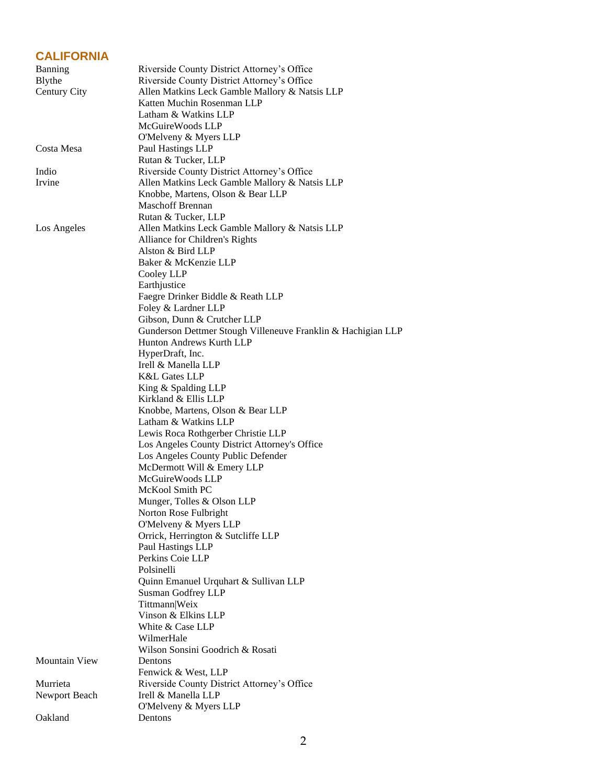### **CALIFORNIA**

| Banning              | Riverside County District Attorney's Office                  |
|----------------------|--------------------------------------------------------------|
| Blythe               | Riverside County District Attorney's Office                  |
| Century City         | Allen Matkins Leck Gamble Mallory & Natsis LLP               |
|                      | Katten Muchin Rosenman LLP                                   |
|                      | Latham & Watkins LLP                                         |
|                      | McGuireWoods LLP                                             |
|                      | O'Melveny & Myers LLP                                        |
| Costa Mesa           | Paul Hastings LLP                                            |
|                      | Rutan & Tucker, LLP                                          |
| Indio                | Riverside County District Attorney's Office                  |
| Irvine               | Allen Matkins Leck Gamble Mallory & Natsis LLP               |
|                      | Knobbe, Martens, Olson & Bear LLP                            |
|                      | <b>Maschoff Brennan</b>                                      |
|                      | Rutan & Tucker, LLP                                          |
| Los Angeles          | Allen Matkins Leck Gamble Mallory & Natsis LLP               |
|                      | Alliance for Children's Rights                               |
|                      | Alston & Bird LLP                                            |
|                      | Baker & McKenzie LLP                                         |
|                      |                                                              |
|                      | Cooley LLP                                                   |
|                      | Earthjustice                                                 |
|                      | Faegre Drinker Biddle & Reath LLP                            |
|                      | Foley & Lardner LLP                                          |
|                      | Gibson, Dunn & Crutcher LLP                                  |
|                      | Gunderson Dettmer Stough Villeneuve Franklin & Hachigian LLP |
|                      | Hunton Andrews Kurth LLP                                     |
|                      | HyperDraft, Inc.                                             |
|                      | Irell & Manella LLP                                          |
|                      | K&L Gates LLP                                                |
|                      | King & Spalding LLP                                          |
|                      | Kirkland & Ellis LLP                                         |
|                      | Knobbe, Martens, Olson & Bear LLP                            |
|                      | Latham & Watkins LLP                                         |
|                      | Lewis Roca Rothgerber Christie LLP                           |
|                      | Los Angeles County District Attorney's Office                |
|                      | Los Angeles County Public Defender                           |
|                      | McDermott Will & Emery LLP                                   |
|                      | McGuireWoods LLP                                             |
|                      | McKool Smith PC                                              |
|                      | Munger, Tolles & Olson LLP                                   |
|                      | Norton Rose Fulbright                                        |
|                      | O'Melveny & Myers LLP                                        |
|                      | Orrick, Herrington & Sutcliffe LLP                           |
|                      | Paul Hastings LLP                                            |
|                      | Perkins Coie LLP                                             |
|                      | Polsinelli                                                   |
|                      |                                                              |
|                      | Quinn Emanuel Urquhart & Sullivan LLP                        |
|                      | Susman Godfrey LLP                                           |
|                      | Tittmann Weix                                                |
|                      | Vinson & Elkins LLP                                          |
|                      | White & Case LLP                                             |
|                      | WilmerHale                                                   |
|                      | Wilson Sonsini Goodrich & Rosati                             |
| <b>Mountain View</b> | Dentons                                                      |
|                      | Fenwick & West, LLP                                          |
| Murrieta             | Riverside County District Attorney's Office                  |
| Newport Beach        | Irell & Manella LLP                                          |
|                      | O'Melveny & Myers LLP                                        |
| Oakland              | Dentons                                                      |
|                      |                                                              |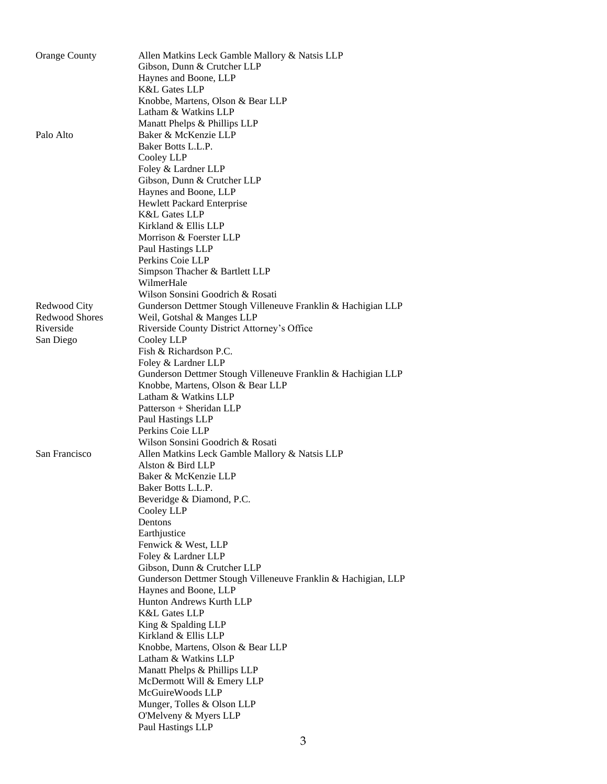| <b>Orange County</b>   | Allen Matkins Leck Gamble Mallory & Natsis LLP<br>Gibson, Dunn & Crutcher LLP<br>Haynes and Boone, LLP |
|------------------------|--------------------------------------------------------------------------------------------------------|
|                        | <b>K&amp;L Gates LLP</b>                                                                               |
|                        | Knobbe, Martens, Olson & Bear LLP                                                                      |
|                        | Latham & Watkins LLP                                                                                   |
|                        | Manatt Phelps & Phillips LLP                                                                           |
| Palo Alto              | Baker & McKenzie LLP                                                                                   |
|                        | Baker Botts L.L.P.                                                                                     |
|                        | Cooley LLP                                                                                             |
|                        | Foley & Lardner LLP                                                                                    |
|                        | Gibson, Dunn & Crutcher LLP<br>Haynes and Boone, LLP                                                   |
|                        | Hewlett Packard Enterprise                                                                             |
|                        | <b>K&amp;L Gates LLP</b>                                                                               |
|                        | Kirkland & Ellis LLP                                                                                   |
|                        | Morrison & Foerster LLP                                                                                |
|                        | Paul Hastings LLP                                                                                      |
|                        | Perkins Coie LLP                                                                                       |
|                        | Simpson Thacher & Bartlett LLP                                                                         |
|                        | WilmerHale                                                                                             |
|                        | Wilson Sonsini Goodrich & Rosati                                                                       |
| Redwood City           | Gunderson Dettmer Stough Villeneuve Franklin & Hachigian LLP                                           |
| <b>Redwood Shores</b>  | Weil, Gotshal & Manges LLP                                                                             |
| Riverside<br>San Diego | Riverside County District Attorney's Office<br>Cooley LLP                                              |
|                        | Fish & Richardson P.C.                                                                                 |
|                        | Foley & Lardner LLP                                                                                    |
|                        | Gunderson Dettmer Stough Villeneuve Franklin & Hachigian LLP                                           |
|                        | Knobbe, Martens, Olson & Bear LLP                                                                      |
|                        | Latham & Watkins LLP                                                                                   |
|                        | Patterson + Sheridan LLP                                                                               |
|                        | Paul Hastings LLP                                                                                      |
|                        | Perkins Coie LLP                                                                                       |
|                        | Wilson Sonsini Goodrich & Rosati                                                                       |
| San Francisco          | Allen Matkins Leck Gamble Mallory & Natsis LLP                                                         |
|                        | Alston & Bird LLP                                                                                      |
|                        | Baker & McKenzie LLP                                                                                   |
|                        | Baker Botts L.L.P.<br>Beveridge & Diamond, P.C.                                                        |
|                        | Cooley LLP                                                                                             |
|                        | Dentons                                                                                                |
|                        | Earthjustice                                                                                           |
|                        | Fenwick & West, LLP                                                                                    |
|                        | Foley & Lardner LLP                                                                                    |
|                        | Gibson, Dunn & Crutcher LLP                                                                            |
|                        | Gunderson Dettmer Stough Villeneuve Franklin & Hachigian, LLP                                          |
|                        | Haynes and Boone, LLP                                                                                  |
|                        | Hunton Andrews Kurth LLP                                                                               |
|                        | <b>K&amp;L Gates LLP</b>                                                                               |
|                        | King & Spalding LLP<br>Kirkland & Ellis LLP                                                            |
|                        | Knobbe, Martens, Olson & Bear LLP                                                                      |
|                        | Latham & Watkins LLP                                                                                   |
|                        | Manatt Phelps & Phillips LLP                                                                           |
|                        | McDermott Will & Emery LLP                                                                             |
|                        | McGuireWoods LLP                                                                                       |
|                        | Munger, Tolles & Olson LLP                                                                             |
|                        | O'Melveny & Myers LLP                                                                                  |
|                        | Paul Hastings LLP                                                                                      |
|                        | 3                                                                                                      |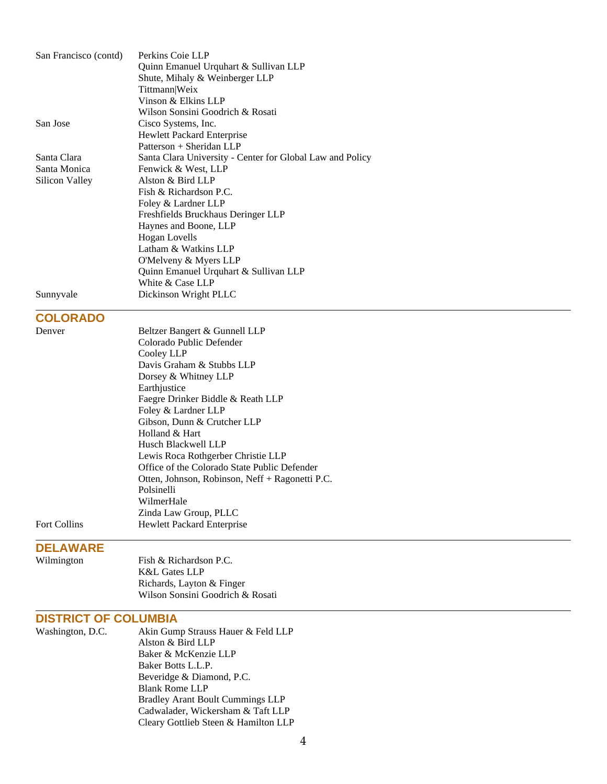| San Francisco (contd) | Perkins Coie LLP                                          |
|-----------------------|-----------------------------------------------------------|
|                       | Quinn Emanuel Urquhart & Sullivan LLP                     |
|                       | Shute, Mihaly & Weinberger LLP                            |
|                       | Tittmann Weix                                             |
|                       | Vinson & Elkins LLP                                       |
|                       | Wilson Sonsini Goodrich & Rosati                          |
| San Jose              | Cisco Systems, Inc.                                       |
|                       | Hewlett Packard Enterprise                                |
|                       | Patterson + Sheridan LLP                                  |
| Santa Clara           | Santa Clara University - Center for Global Law and Policy |
| Santa Monica          | Fenwick & West, LLP                                       |
| Silicon Valley        | Alston & Bird LLP                                         |
|                       | Fish & Richardson P.C.                                    |
|                       | Foley & Lardner LLP                                       |
|                       | Freshfields Bruckhaus Deringer LLP                        |
|                       | Haynes and Boone, LLP                                     |
|                       | <b>Hogan Lovells</b>                                      |
|                       | Latham & Watkins LLP                                      |
|                       | O'Melveny & Myers LLP                                     |
|                       | Quinn Emanuel Urquhart & Sullivan LLP                     |
|                       | White & Case LLP                                          |
| Sunnyvale             | Dickinson Wright PLLC                                     |
|                       |                                                           |
| <b>COLORADO</b>       |                                                           |
| Denver                | Beltzer Bangert & Gunnell LLP                             |
|                       | Colorado Public Defender                                  |
|                       | Cooley LLP                                                |
|                       | Davis Graham & Stubbs LLP                                 |
|                       | Dorsey & Whitney LLP                                      |
|                       | Earthjustice                                              |
|                       | Faegre Drinker Biddle & Reath LLP                         |
|                       | Foley & Lardner LLP                                       |
|                       | Gibson, Dunn & Crutcher LLP                               |
|                       | Holland & Hart                                            |
|                       | Husch Blackwell LLP                                       |
|                       | Lewis Roca Rothgerber Christie LLP                        |
|                       | Office of the Colorado State Public Defender              |
|                       | Otten, Johnson, Robinson, Neff + Ragonetti P.C.           |
|                       | Polsinelli                                                |
|                       | WilmerHale                                                |
|                       | Zinda Law Group, PLLC                                     |
| Fort Collins          | Hewlett Packard Enterprise                                |
| <b>DELAWARE</b>       |                                                           |
| Wilmington            | Fish & Richardson P.C.                                    |
|                       | K&L Gates LLP                                             |
|                       | Richards, Layton & Finger                                 |
|                       | Wilson Sonsini Goodrich & Rosati                          |
|                       |                                                           |

# **DISTRICT OF COLUMBIA**

| Washington, D.C. | Akin Gump Strauss Hauer & Feld LLP      |
|------------------|-----------------------------------------|
|                  | Alston & Bird LLP                       |
|                  | Baker & McKenzie LLP                    |
|                  | Baker Botts L.L.P.                      |
|                  | Beveridge & Diamond, P.C.               |
|                  | <b>Blank Rome LLP</b>                   |
|                  | <b>Bradley Arant Boult Cummings LLP</b> |
|                  | Cadwalader, Wickersham & Taft LLP       |
|                  | Cleary Gottlieb Steen & Hamilton LLP    |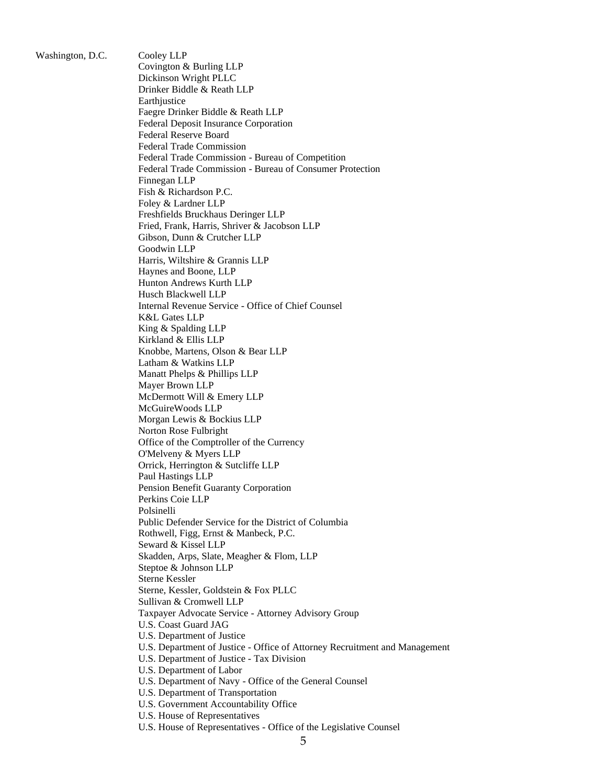Washington, D.C. Cooley LLP

Covington & Burling LLP Dickinson Wright PLLC Drinker Biddle & Reath LLP **Earth**justice Faegre Drinker Biddle & Reath LLP Federal Deposit Insurance Corporation Federal Reserve Board Federal Trade Commission Federal Trade Commission - Bureau of Competition Federal Trade Commission - Bureau of Consumer Protection Finnegan LLP Fish & Richardson P.C. Foley & Lardner LLP Freshfields Bruckhaus Deringer LLP Fried, Frank, Harris, Shriver & Jacobson LLP Gibson, Dunn & Crutcher LLP Goodwin LLP Harris, Wiltshire & Grannis LLP Haynes and Boone, LLP Hunton Andrews Kurth LLP Husch Blackwell LLP Internal Revenue Service - Office of Chief Counsel K&L Gates LLP King & Spalding LLP Kirkland & Ellis LLP Knobbe, Martens, Olson & Bear LLP Latham & Watkins LLP Manatt Phelps & Phillips LLP Mayer Brown LLP McDermott Will & Emery LLP McGuireWoods LLP Morgan Lewis & Bockius LLP Norton Rose Fulbright Office of the Comptroller of the Currency O'Melveny & Myers LLP Orrick, Herrington & Sutcliffe LLP Paul Hastings LLP Pension Benefit Guaranty Corporation Perkins Coie LLP Polsinelli Public Defender Service for the District of Columbia Rothwell, Figg, Ernst & Manbeck, P.C. Seward & Kissel LLP Skadden, Arps, Slate, Meagher & Flom, LLP Steptoe & Johnson LLP Sterne Kessler Sterne, Kessler, Goldstein & Fox PLLC Sullivan & Cromwell LLP Taxpayer Advocate Service - Attorney Advisory Group U.S. Coast Guard JAG U.S. Department of Justice U.S. Department of Justice - Office of Attorney Recruitment and Management U.S. Department of Justice - Tax Division U.S. Department of Labor U.S. Department of Navy - Office of the General Counsel U.S. Department of Transportation U.S. Government Accountability Office U.S. House of Representatives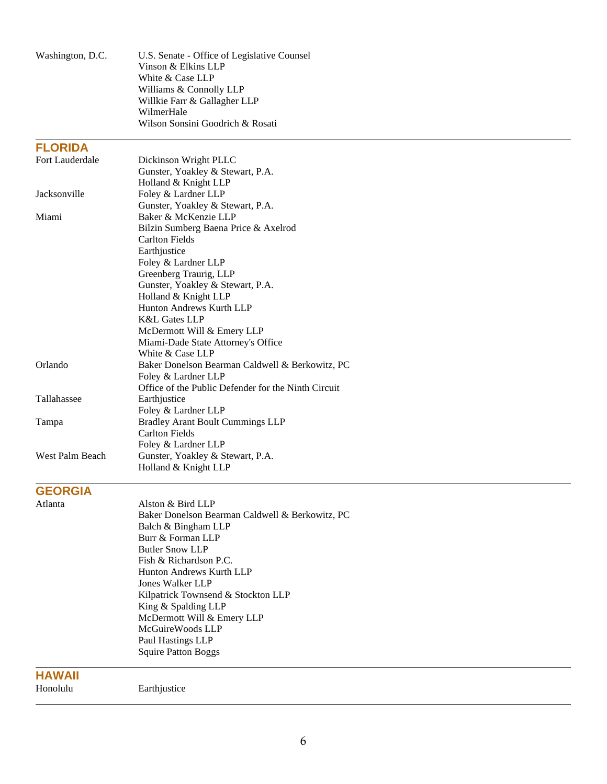| Washington, D.C. | U.S. Senate - Office of Legislative Counsel         |
|------------------|-----------------------------------------------------|
|                  | Vinson & Elkins LLP                                 |
|                  | White & Case LLP                                    |
|                  | Williams & Connolly LLP                             |
|                  | Willkie Farr & Gallagher LLP                        |
|                  | WilmerHale                                          |
|                  | Wilson Sonsini Goodrich & Rosati                    |
| <b>FLORIDA</b>   |                                                     |
| Fort Lauderdale  | Dickinson Wright PLLC                               |
|                  | Gunster, Yoakley & Stewart, P.A.                    |
|                  | Holland & Knight LLP                                |
| Jacksonville     | Foley & Lardner LLP                                 |
|                  | Gunster, Yoakley & Stewart, P.A.                    |
| Miami            | Baker & McKenzie LLP                                |
|                  | Bilzin Sumberg Baena Price & Axelrod                |
|                  | <b>Carlton Fields</b>                               |
|                  | Earthjustice                                        |
|                  | Foley & Lardner LLP                                 |
|                  | Greenberg Traurig, LLP                              |
|                  | Gunster, Yoakley & Stewart, P.A.                    |
|                  | Holland & Knight LLP<br>Hunton Andrews Kurth LLP    |
|                  | <b>K&amp;L Gates LLP</b>                            |
|                  | McDermott Will & Emery LLP                          |
|                  | Miami-Dade State Attorney's Office                  |
|                  | White & Case LLP                                    |
| Orlando          | Baker Donelson Bearman Caldwell & Berkowitz, PC     |
|                  | Foley & Lardner LLP                                 |
|                  | Office of the Public Defender for the Ninth Circuit |
| Tallahassee      | Earthjustice                                        |
|                  | Foley & Lardner LLP                                 |
| Tampa            | <b>Bradley Arant Boult Cummings LLP</b>             |
|                  | <b>Carlton Fields</b>                               |
|                  | Foley & Lardner LLP                                 |
| West Palm Beach  | Gunster, Yoakley & Stewart, P.A.                    |
|                  | Holland & Knight LLP                                |
| <b>GEORGIA</b>   |                                                     |
| Atlanta          | Alston & Bird LLP                                   |
|                  | Baker Donelson Bearman Caldwell & Berkowitz, PC     |
|                  | Balch & Bingham LLP                                 |
|                  | Burr & Forman LLP                                   |
|                  | <b>Butler Snow LLP</b>                              |
|                  | Fish & Richardson P.C.                              |
|                  | Hunton Andrews Kurth LLP                            |
|                  | <b>Jones Walker LLP</b>                             |
|                  | Kilpatrick Townsend & Stockton LLP                  |
|                  | King & Spalding LLP                                 |
|                  | McDermott Will & Emery LLP                          |
|                  | McGuireWoods LLP                                    |
|                  | Paul Hastings LLP                                   |
|                  | <b>Squire Patton Boggs</b>                          |
| <b>HAWAII</b>    |                                                     |
| Honolulu         | Earthjustice                                        |
|                  |                                                     |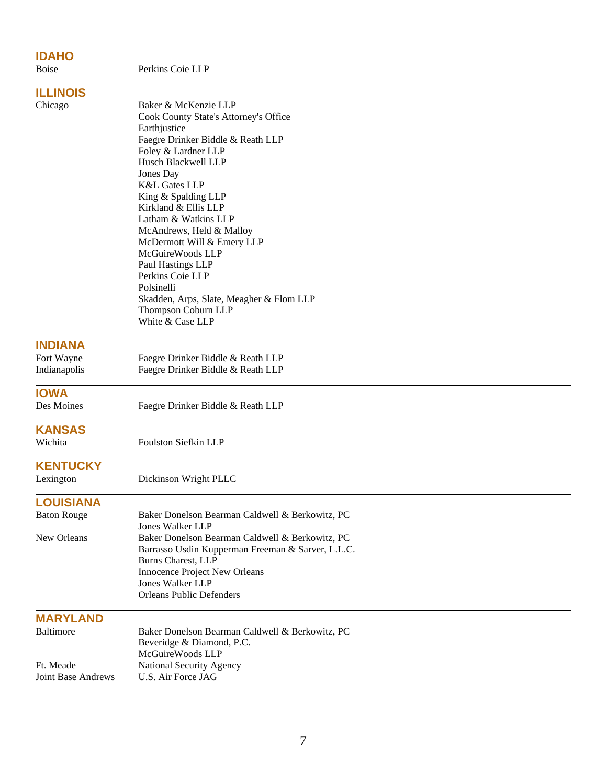# **IDAHO**

| <b>Boise</b>                           | Perkins Coie LLP                                                                                                                                                                                                                                                                                                                                                                                                                                                                                             |
|----------------------------------------|--------------------------------------------------------------------------------------------------------------------------------------------------------------------------------------------------------------------------------------------------------------------------------------------------------------------------------------------------------------------------------------------------------------------------------------------------------------------------------------------------------------|
| <b>ILLINOIS</b>                        |                                                                                                                                                                                                                                                                                                                                                                                                                                                                                                              |
| Chicago                                | Baker & McKenzie LLP<br>Cook County State's Attorney's Office<br>Earthjustice<br>Faegre Drinker Biddle & Reath LLP<br>Foley & Lardner LLP<br>Husch Blackwell LLP<br>Jones Day<br><b>K&amp;L Gates LLP</b><br>King & Spalding LLP<br>Kirkland & Ellis LLP<br>Latham & Watkins LLP<br>McAndrews, Held & Malloy<br>McDermott Will & Emery LLP<br>McGuireWoods LLP<br>Paul Hastings LLP<br>Perkins Coie LLP<br>Polsinelli<br>Skadden, Arps, Slate, Meagher & Flom LLP<br>Thompson Coburn LLP<br>White & Case LLP |
| <b>INDIANA</b>                         |                                                                                                                                                                                                                                                                                                                                                                                                                                                                                                              |
| Fort Wayne<br>Indianapolis             | Faegre Drinker Biddle & Reath LLP<br>Faegre Drinker Biddle & Reath LLP                                                                                                                                                                                                                                                                                                                                                                                                                                       |
| <b>IOWA</b><br>Des Moines              | Faegre Drinker Biddle & Reath LLP                                                                                                                                                                                                                                                                                                                                                                                                                                                                            |
| <b>KANSAS</b><br>Wichita               | <b>Foulston Siefkin LLP</b>                                                                                                                                                                                                                                                                                                                                                                                                                                                                                  |
| <b>KENTUCKY</b><br>Lexington           | Dickinson Wright PLLC                                                                                                                                                                                                                                                                                                                                                                                                                                                                                        |
| <b>LOUISIANA</b><br><b>Baton Rouge</b> | Baker Donelson Bearman Caldwell & Berkowitz, PC                                                                                                                                                                                                                                                                                                                                                                                                                                                              |
| New Orleans                            | <b>Jones Walker LLP</b><br>Baker Donelson Bearman Caldwell & Berkowitz, PC<br>Barrasso Usdin Kupperman Freeman & Sarver, L.L.C.<br>Burns Charest, LLP<br>Innocence Project New Orleans<br>Jones Walker LLP<br><b>Orleans Public Defenders</b>                                                                                                                                                                                                                                                                |
| <b>MARYLAND</b>                        |                                                                                                                                                                                                                                                                                                                                                                                                                                                                                                              |
| Baltimore                              | Baker Donelson Bearman Caldwell & Berkowitz, PC<br>Beveridge & Diamond, P.C.<br>McGuireWoods LLP                                                                                                                                                                                                                                                                                                                                                                                                             |
| Ft. Meade<br><b>Joint Base Andrews</b> | National Security Agency<br>U.S. Air Force JAG                                                                                                                                                                                                                                                                                                                                                                                                                                                               |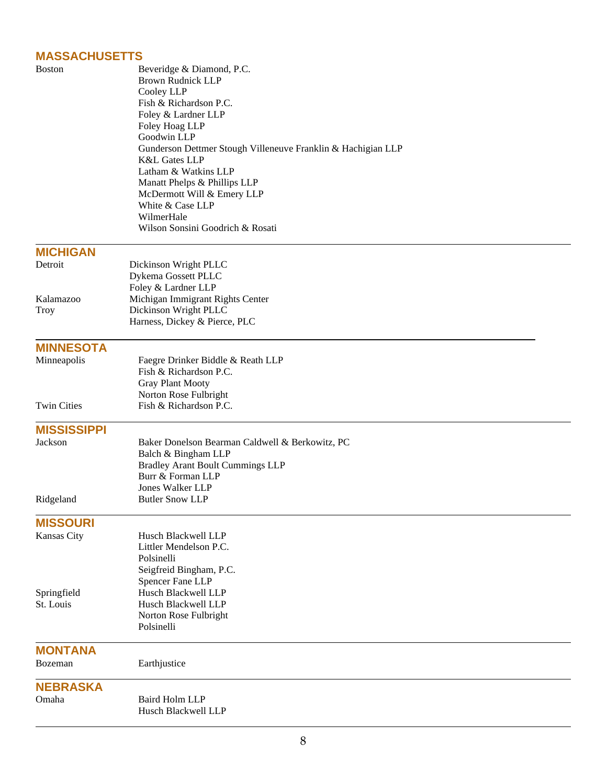## **MASSACHUSETTS**

| <b>Boston</b>      | Beveridge & Diamond, P.C.<br><b>Brown Rudnick LLP</b><br>Cooley LLP<br>Fish & Richardson P.C.<br>Foley & Lardner LLP<br>Foley Hoag LLP<br>Goodwin LLP<br>Gunderson Dettmer Stough Villeneuve Franklin & Hachigian LLP<br>K&L Gates LLP<br>Latham & Watkins LLP<br>Manatt Phelps & Phillips LLP<br>McDermott Will & Emery LLP<br>White & Case LLP<br>WilmerHale<br>Wilson Sonsini Goodrich & Rosati |
|--------------------|----------------------------------------------------------------------------------------------------------------------------------------------------------------------------------------------------------------------------------------------------------------------------------------------------------------------------------------------------------------------------------------------------|
| <b>MICHIGAN</b>    |                                                                                                                                                                                                                                                                                                                                                                                                    |
| Detroit            | Dickinson Wright PLLC<br>Dykema Gossett PLLC<br>Foley & Lardner LLP                                                                                                                                                                                                                                                                                                                                |
| Kalamazoo          | Michigan Immigrant Rights Center                                                                                                                                                                                                                                                                                                                                                                   |
| Troy               | Dickinson Wright PLLC<br>Harness, Dickey & Pierce, PLC                                                                                                                                                                                                                                                                                                                                             |
| <b>MINNESOTA</b>   |                                                                                                                                                                                                                                                                                                                                                                                                    |
| Minneapolis        | Faegre Drinker Biddle & Reath LLP                                                                                                                                                                                                                                                                                                                                                                  |
|                    | Fish & Richardson P.C.                                                                                                                                                                                                                                                                                                                                                                             |
|                    | <b>Gray Plant Mooty</b><br>Norton Rose Fulbright                                                                                                                                                                                                                                                                                                                                                   |
| <b>Twin Cities</b> | Fish & Richardson P.C.                                                                                                                                                                                                                                                                                                                                                                             |
| <b>MISSISSIPPI</b> |                                                                                                                                                                                                                                                                                                                                                                                                    |
| Jackson            | Baker Donelson Bearman Caldwell & Berkowitz, PC                                                                                                                                                                                                                                                                                                                                                    |
|                    | Balch & Bingham LLP                                                                                                                                                                                                                                                                                                                                                                                |
|                    | <b>Bradley Arant Boult Cummings LLP</b><br>Burr & Forman LLP                                                                                                                                                                                                                                                                                                                                       |
|                    | <b>Jones Walker LLP</b>                                                                                                                                                                                                                                                                                                                                                                            |
| Ridgeland          | <b>Butler Snow LLP</b>                                                                                                                                                                                                                                                                                                                                                                             |
| <b>MISSOURI</b>    |                                                                                                                                                                                                                                                                                                                                                                                                    |
| Kansas City        | Husch Blackwell LLP                                                                                                                                                                                                                                                                                                                                                                                |
|                    | Littler Mendelson P.C.                                                                                                                                                                                                                                                                                                                                                                             |
|                    | Polsinelli<br>Seigfreid Bingham, P.C.                                                                                                                                                                                                                                                                                                                                                              |
|                    | Spencer Fane LLP                                                                                                                                                                                                                                                                                                                                                                                   |
| Springfield        | Husch Blackwell LLP                                                                                                                                                                                                                                                                                                                                                                                |
| St. Louis          | Husch Blackwell LLP                                                                                                                                                                                                                                                                                                                                                                                |
|                    | Norton Rose Fulbright<br>Polsinelli                                                                                                                                                                                                                                                                                                                                                                |
| <b>MONTANA</b>     |                                                                                                                                                                                                                                                                                                                                                                                                    |
| Bozeman            | Earthjustice                                                                                                                                                                                                                                                                                                                                                                                       |
| <b>NEBRASKA</b>    |                                                                                                                                                                                                                                                                                                                                                                                                    |
| Omaha              | <b>Baird Holm LLP</b>                                                                                                                                                                                                                                                                                                                                                                              |
|                    | Husch Blackwell LLP                                                                                                                                                                                                                                                                                                                                                                                |
|                    |                                                                                                                                                                                                                                                                                                                                                                                                    |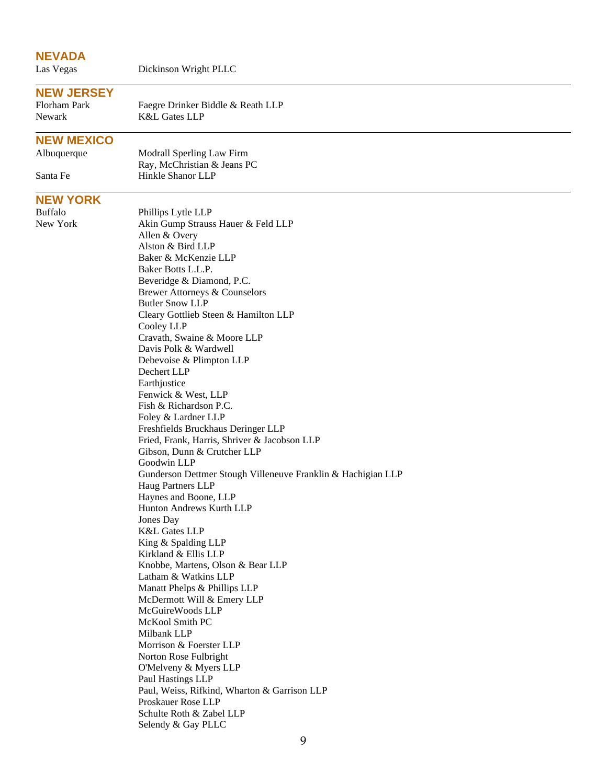### **NEVADA**

Las Vegas Dickinson Wright PLLC

### **NEW JERSEY**

Florham Park Faegre Drinker Biddle & Reath LLP Newark K&L Gates LLP

### **NEW MEXICO**

Albuquerque Modrall Sperling Law Firm Ray, McChristian & Jeans PC Santa Fe Hinkle Shanor LLP

### **NEW YORK**

Buffalo Phillips Lytle LLP<br>New York Akin Gump Straus Akin Gump Strauss Hauer & Feld LLP Allen & Overy Alston & Bird LLP Baker & McKenzie LLP Baker Botts L.L.P. Beveridge & Diamond, P.C. Brewer Attorneys & Counselors Butler Snow LLP Cleary Gottlieb Steen & Hamilton LLP Cooley LLP Cravath, Swaine & Moore LLP Davis Polk & Wardwell Debevoise & Plimpton LLP Dechert LLP Earthjustice Fenwick & West, LLP Fish & Richardson P.C. Foley & Lardner LLP Freshfields Bruckhaus Deringer LLP Fried, Frank, Harris, Shriver & Jacobson LLP Gibson, Dunn & Crutcher LLP Goodwin LLP Gunderson Dettmer Stough Villeneuve Franklin & Hachigian LLP Haug Partners LLP Haynes and Boone, LLP Hunton Andrews Kurth LLP Jones Day K&L Gates LLP King & Spalding LLP Kirkland & Ellis LLP Knobbe, Martens, Olson & Bear LLP Latham & Watkins LLP Manatt Phelps & Phillips LLP McDermott Will & Emery LLP McGuireWoods LLP McKool Smith PC Milbank LLP Morrison & Foerster LLP Norton Rose Fulbright O'Melveny & Myers LLP Paul Hastings LLP Paul, Weiss, Rifkind, Wharton & Garrison LLP Proskauer Rose LLP Schulte Roth & Zabel LLP Selendy & Gay PLLC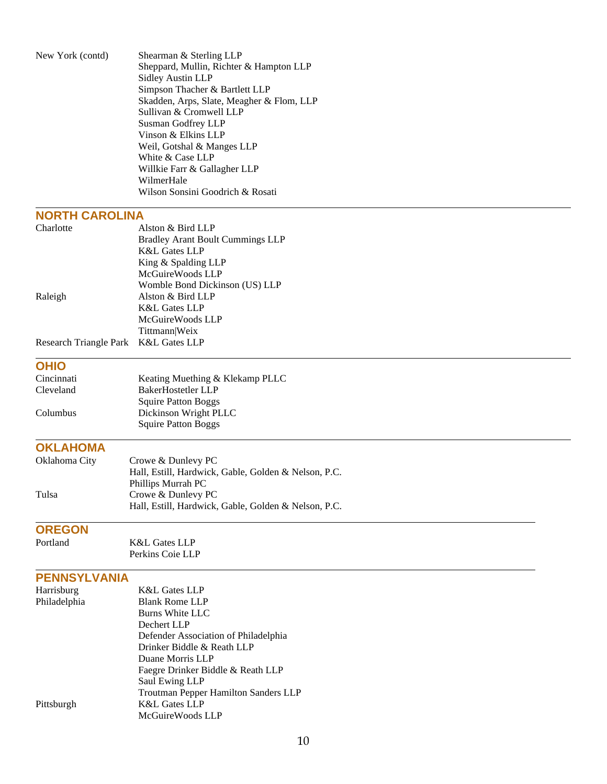| New York (contd)       | Shearman & Sterling LLP<br>Sheppard, Mullin, Richter & Hampton LLP<br><b>Sidley Austin LLP</b><br>Simpson Thacher & Bartlett LLP<br>Skadden, Arps, Slate, Meagher & Flom, LLP<br>Sullivan & Cromwell LLP<br>Susman Godfrey LLP<br>Vinson & Elkins LLP<br>Weil, Gotshal & Manges LLP<br>White & Case LLP<br>Willkie Farr & Gallagher LLP<br>WilmerHale<br>Wilson Sonsini Goodrich & Rosati |
|------------------------|-------------------------------------------------------------------------------------------------------------------------------------------------------------------------------------------------------------------------------------------------------------------------------------------------------------------------------------------------------------------------------------------|
| <b>NORTH CAROLINA</b>  |                                                                                                                                                                                                                                                                                                                                                                                           |
| Charlotte              | Alston & Bird LLP                                                                                                                                                                                                                                                                                                                                                                         |
|                        | <b>Bradley Arant Boult Cummings LLP</b>                                                                                                                                                                                                                                                                                                                                                   |
|                        | <b>K&amp;L Gates LLP</b>                                                                                                                                                                                                                                                                                                                                                                  |
|                        | King & Spalding LLP                                                                                                                                                                                                                                                                                                                                                                       |
|                        | McGuireWoods LLP                                                                                                                                                                                                                                                                                                                                                                          |
|                        | Womble Bond Dickinson (US) LLP                                                                                                                                                                                                                                                                                                                                                            |
| Raleigh                | Alston & Bird LLP                                                                                                                                                                                                                                                                                                                                                                         |
|                        | <b>K&amp;L Gates LLP</b><br>McGuireWoods LLP                                                                                                                                                                                                                                                                                                                                              |
|                        | Tittmann Weix                                                                                                                                                                                                                                                                                                                                                                             |
| Research Triangle Park | <b>K&amp;L Gates LLP</b>                                                                                                                                                                                                                                                                                                                                                                  |
|                        |                                                                                                                                                                                                                                                                                                                                                                                           |
| <b>OHIO</b>            |                                                                                                                                                                                                                                                                                                                                                                                           |
| Cincinnati             | Keating Muething & Klekamp PLLC                                                                                                                                                                                                                                                                                                                                                           |
| Cleveland              | BakerHostetler LLP                                                                                                                                                                                                                                                                                                                                                                        |
|                        | <b>Squire Patton Boggs</b>                                                                                                                                                                                                                                                                                                                                                                |
| Columbus               | Dickinson Wright PLLC<br><b>Squire Patton Boggs</b>                                                                                                                                                                                                                                                                                                                                       |
|                        |                                                                                                                                                                                                                                                                                                                                                                                           |
| <b>OKLAHOMA</b>        |                                                                                                                                                                                                                                                                                                                                                                                           |
| Oklahoma City          | Crowe & Dunlevy PC                                                                                                                                                                                                                                                                                                                                                                        |
|                        | Hall, Estill, Hardwick, Gable, Golden & Nelson, P.C.                                                                                                                                                                                                                                                                                                                                      |
|                        | Phillips Murrah PC                                                                                                                                                                                                                                                                                                                                                                        |
| Tulsa                  | Crowe & Dunlevy PC                                                                                                                                                                                                                                                                                                                                                                        |
|                        | Hall, Estill, Hardwick, Gable, Golden & Nelson, P.C.                                                                                                                                                                                                                                                                                                                                      |
| <b>OREGON</b>          |                                                                                                                                                                                                                                                                                                                                                                                           |
| Portland               | <b>K&amp;L Gates LLP</b>                                                                                                                                                                                                                                                                                                                                                                  |
|                        | Perkins Coie LLP                                                                                                                                                                                                                                                                                                                                                                          |
|                        |                                                                                                                                                                                                                                                                                                                                                                                           |
| <b>PENNSYLVANIA</b>    |                                                                                                                                                                                                                                                                                                                                                                                           |
| Harrisburg             | <b>K&amp;L Gates LLP</b>                                                                                                                                                                                                                                                                                                                                                                  |
| Philadelphia           | <b>Blank Rome LLP</b>                                                                                                                                                                                                                                                                                                                                                                     |
|                        | <b>Burns White LLC</b>                                                                                                                                                                                                                                                                                                                                                                    |
|                        | Dechert LLP                                                                                                                                                                                                                                                                                                                                                                               |
|                        | Defender Association of Philadelphia                                                                                                                                                                                                                                                                                                                                                      |
|                        | Drinker Biddle & Reath LLP<br>Duane Morris LLP                                                                                                                                                                                                                                                                                                                                            |
|                        | Faegre Drinker Biddle & Reath LLP                                                                                                                                                                                                                                                                                                                                                         |
|                        | Saul Ewing LLP                                                                                                                                                                                                                                                                                                                                                                            |
|                        | Troutman Pepper Hamilton Sanders LLP                                                                                                                                                                                                                                                                                                                                                      |
| Pittsburgh             | <b>K&amp;L Gates LLP</b>                                                                                                                                                                                                                                                                                                                                                                  |
|                        | McGuireWoods LLP                                                                                                                                                                                                                                                                                                                                                                          |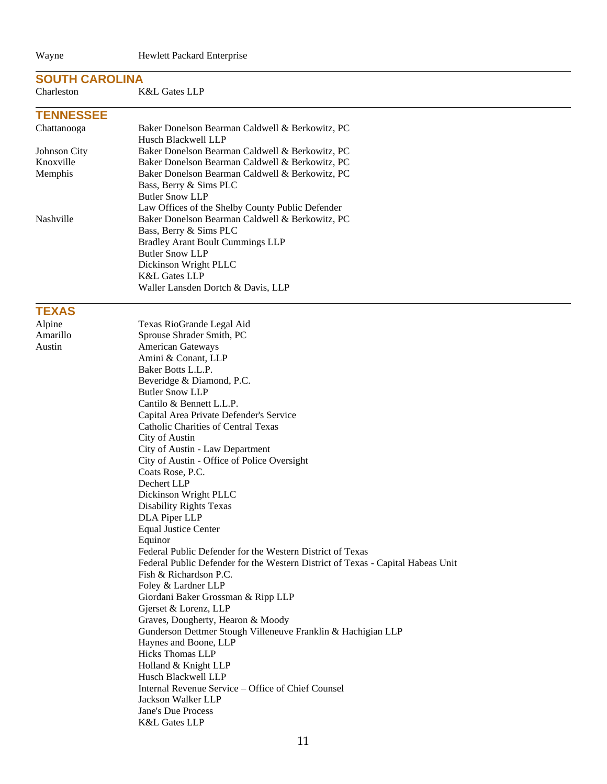#### **SOUTH CAROLINA**

#### Charleston K&L Gates LLP

### **TENNESSEE**

| Chattanooga  | Baker Donelson Bearman Caldwell & Berkowitz, PC  |
|--------------|--------------------------------------------------|
|              | Husch Blackwell LLP                              |
| Johnson City | Baker Donelson Bearman Caldwell & Berkowitz, PC  |
| Knoxville    | Baker Donelson Bearman Caldwell & Berkowitz, PC  |
| Memphis      | Baker Donelson Bearman Caldwell & Berkowitz, PC  |
|              | Bass, Berry & Sims PLC                           |
|              | <b>Butler Snow LLP</b>                           |
|              | Law Offices of the Shelby County Public Defender |
| Nashville    | Baker Donelson Bearman Caldwell & Berkowitz, PC  |
|              | Bass, Berry & Sims PLC                           |
|              | <b>Bradley Arant Boult Cummings LLP</b>          |
|              | <b>Butler Snow LLP</b>                           |
|              | Dickinson Wright PLLC                            |
|              | <b>K&amp;L Gates LLP</b>                         |
|              | Waller Lansden Dortch & Davis, LLP               |

#### **TEXAS**

Alpine Texas RioGrande Legal Aid Amarillo Sprouse Shrader Smith, PC Austin American Gateways Amini & Conant, LLP Baker Botts L.L.P. Beveridge & Diamond, P.C. Butler Snow LLP Cantilo & Bennett L.L.P. Capital Area Private Defender's Service Catholic Charities of Central Texas City of Austin City of Austin - Law Department City of Austin - Office of Police Oversight Coats Rose, P.C. Dechert LLP Dickinson Wright PLLC Disability Rights Texas DLA Piper LLP Equal Justice Center Equinor Federal Public Defender for the Western District of Texas Federal Public Defender for the Western District of Texas - Capital Habeas Unit Fish & Richardson P.C. Foley & Lardner LLP Giordani Baker Grossman & Ripp LLP Gjerset & Lorenz, LLP Graves, Dougherty, Hearon & Moody Gunderson Dettmer Stough Villeneuve Franklin & Hachigian LLP Haynes and Boone, LLP Hicks Thomas LLP Holland & Knight LLP Husch Blackwell LLP Internal Revenue Service – Office of Chief Counsel Jackson Walker LLP Jane's Due Process K&L Gates LLP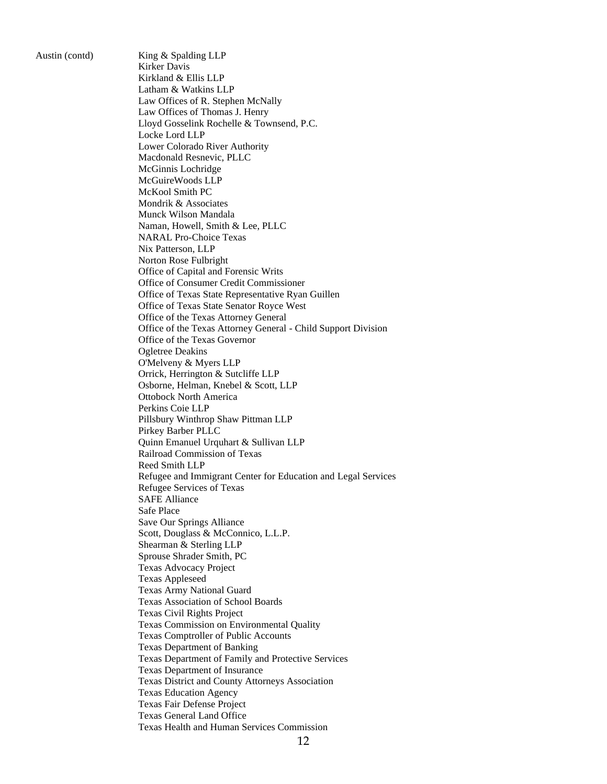Austin (contd) King & Spalding LLP Kirker Davis Kirkland & Ellis LLP Latham & Watkins LLP Law Offices of R. Stephen McNally Law Offices of Thomas J. Henry Lloyd Gosselink Rochelle & Townsend, P.C. Locke Lord LLP Lower Colorado River Authority Macdonald Resnevic, PLLC McGinnis Lochridge McGuireWoods LLP McKool Smith PC Mondrik & Associates Munck Wilson Mandala Naman, Howell, Smith & Lee, PLLC NARAL Pro-Choice Texas Nix Patterson, LLP Norton Rose Fulbright Office of Capital and Forensic Writs Office of Consumer Credit Commissioner Office of Texas State Representative Ryan Guillen Office of Texas State Senator Royce West Office of the Texas Attorney General Office of the Texas Attorney General - Child Support Division Office of the Texas Governor Ogletree Deakins O'Melveny & Myers LLP Orrick, Herrington & Sutcliffe LLP Osborne, Helman, Knebel & Scott, LLP Ottobock North America Perkins Coie LLP Pillsbury Winthrop Shaw Pittman LLP Pirkey Barber PLLC Quinn Emanuel Urquhart & Sullivan LLP Railroad Commission of Texas Reed Smith LLP Refugee and Immigrant Center for Education and Legal Services Refugee Services of Texas SAFE Alliance Safe Place Save Our Springs Alliance Scott, Douglass & McConnico, L.L.P. Shearman & Sterling LLP Sprouse Shrader Smith, PC Texas Advocacy Project Texas Appleseed Texas Army National Guard Texas Association of School Boards Texas Civil Rights Project Texas Commission on Environmental Quality Texas Comptroller of Public Accounts Texas Department of Banking Texas Department of Family and Protective Services Texas Department of Insurance Texas District and County Attorneys Association Texas Education Agency Texas Fair Defense Project Texas General Land Office Texas Health and Human Services Commission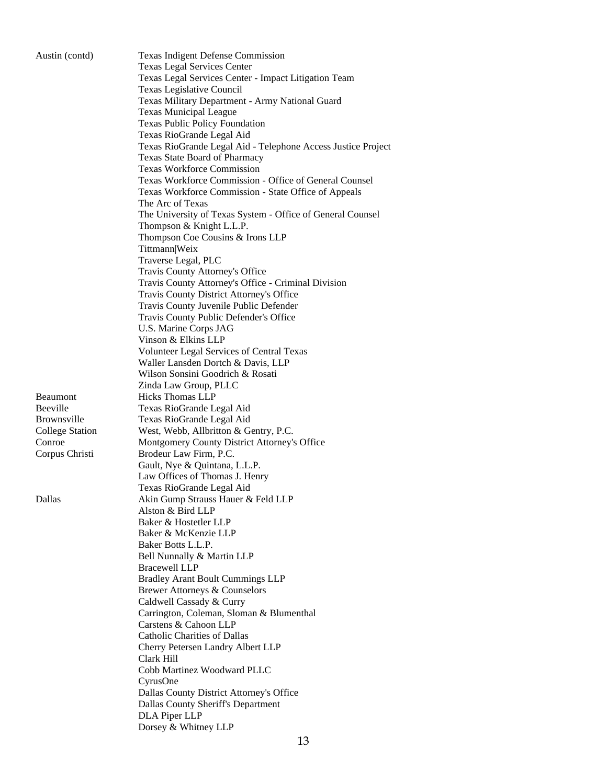| Austin (contd)         | <b>Texas Indigent Defense Commission</b>                                 |
|------------------------|--------------------------------------------------------------------------|
|                        | <b>Texas Legal Services Center</b>                                       |
|                        | Texas Legal Services Center - Impact Litigation Team                     |
|                        | Texas Legislative Council                                                |
|                        | Texas Military Department - Army National Guard                          |
|                        | <b>Texas Municipal League</b>                                            |
|                        | <b>Texas Public Policy Foundation</b>                                    |
|                        | Texas RioGrande Legal Aid                                                |
|                        | Texas RioGrande Legal Aid - Telephone Access Justice Project             |
|                        | Texas State Board of Pharmacy                                            |
|                        | <b>Texas Workforce Commission</b>                                        |
|                        | Texas Workforce Commission - Office of General Counsel                   |
|                        |                                                                          |
|                        | Texas Workforce Commission - State Office of Appeals<br>The Arc of Texas |
|                        |                                                                          |
|                        | The University of Texas System - Office of General Counsel               |
|                        | Thompson & Knight L.L.P.                                                 |
|                        | Thompson Coe Cousins & Irons LLP                                         |
|                        | Tittmann Weix                                                            |
|                        | Traverse Legal, PLC                                                      |
|                        | Travis County Attorney's Office                                          |
|                        | Travis County Attorney's Office - Criminal Division                      |
|                        | Travis County District Attorney's Office                                 |
|                        | Travis County Juvenile Public Defender                                   |
|                        | Travis County Public Defender's Office                                   |
|                        | U.S. Marine Corps JAG                                                    |
|                        | Vinson & Elkins LLP                                                      |
|                        | Volunteer Legal Services of Central Texas                                |
|                        | Waller Lansden Dortch & Davis, LLP                                       |
|                        | Wilson Sonsini Goodrich & Rosati                                         |
|                        | Zinda Law Group, PLLC                                                    |
| Beaumont               | <b>Hicks Thomas LLP</b>                                                  |
| Beeville               | Texas RioGrande Legal Aid                                                |
| <b>Brownsville</b>     | Texas RioGrande Legal Aid                                                |
| <b>College Station</b> | West, Webb, Allbritton & Gentry, P.C.                                    |
| Conroe                 | Montgomery County District Attorney's Office                             |
| Corpus Christi         | Brodeur Law Firm, P.C.                                                   |
|                        | Gault, Nye & Quintana, L.L.P.                                            |
|                        | Law Offices of Thomas J. Henry                                           |
|                        | Texas RioGrande Legal Aid                                                |
| Dallas                 | Akin Gump Strauss Hauer & Feld LLP                                       |
|                        | Alston & Bird LLP                                                        |
|                        | Baker & Hostetler LLP                                                    |
|                        | Baker & McKenzie LLP                                                     |
|                        | Baker Botts L.L.P.                                                       |
|                        | Bell Nunnally & Martin LLP                                               |
|                        | <b>Bracewell LLP</b>                                                     |
|                        |                                                                          |
|                        | <b>Bradley Arant Boult Cummings LLP</b>                                  |
|                        | Brewer Attorneys & Counselors                                            |
|                        | Caldwell Cassady & Curry                                                 |
|                        | Carrington, Coleman, Sloman & Blumenthal                                 |
|                        | Carstens & Cahoon LLP                                                    |
|                        | <b>Catholic Charities of Dallas</b>                                      |
|                        | Cherry Petersen Landry Albert LLP                                        |
|                        | Clark Hill                                                               |
|                        | Cobb Martinez Woodward PLLC                                              |
|                        |                                                                          |
|                        | CyrusOne                                                                 |
|                        | Dallas County District Attorney's Office                                 |
|                        | Dallas County Sheriff's Department                                       |
|                        | <b>DLA Piper LLP</b><br>Dorsey & Whitney LLP                             |

# 13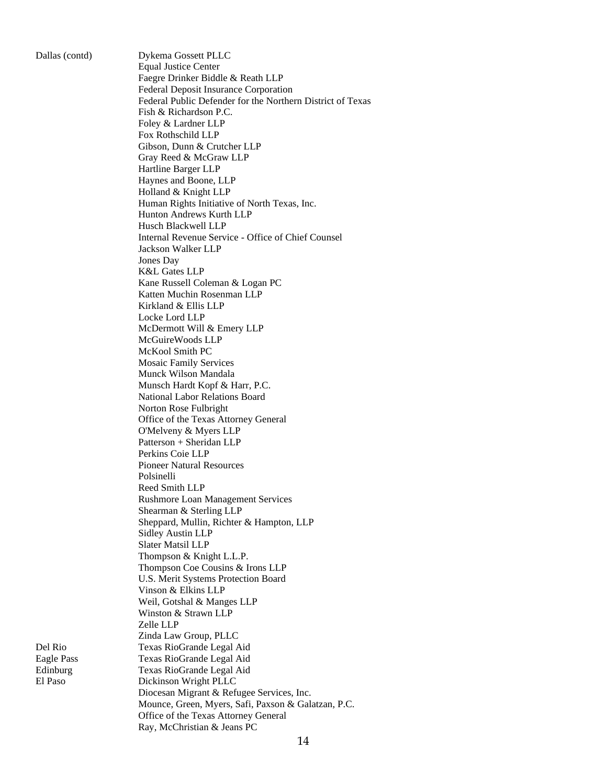Dallas (contd) Dykema Gossett PLLC Equal Justice Center Faegre Drinker Biddle & Reath LLP Federal Deposit Insurance Corporation Federal Public Defender for the Northern District of Texas Fish & Richardson P.C. Foley & Lardner LLP Fox Rothschild LLP Gibson, Dunn & Crutcher LLP Gray Reed & McGraw LLP Hartline Barger LLP Haynes and Boone, LLP Holland & Knight LLP Human Rights Initiative of North Texas, Inc. Hunton Andrews Kurth LLP Husch Blackwell LLP Internal Revenue Service - Office of Chief Counsel Jackson Walker LLP Jones Day K&L Gates LLP Kane Russell Coleman & Logan PC Katten Muchin Rosenman LLP Kirkland & Ellis LLP Locke Lord LLP McDermott Will & Emery LLP McGuireWoods LLP McKool Smith PC Mosaic Family Services Munck Wilson Mandala Munsch Hardt Kopf & Harr, P.C. National Labor Relations Board Norton Rose Fulbright Office of the Texas Attorney General O'Melveny & Myers LLP Patterson + Sheridan LLP Perkins Coie LLP Pioneer Natural Resources Polsinelli Reed Smith LLP Rushmore Loan Management Services Shearman & Sterling LLP Sheppard, Mullin, Richter & Hampton, LLP Sidley Austin LLP Slater Matsil LLP Thompson & Knight L.L.P. Thompson Coe Cousins & Irons LLP U.S. Merit Systems Protection Board Vinson & Elkins LLP Weil, Gotshal & Manges LLP Winston & Strawn LLP Zelle LLP Zinda Law Group, PLLC Del Rio Texas RioGrande Legal Aid Eagle Pass Texas RioGrande Legal Aid Edinburg Texas RioGrande Legal Aid El Paso Dickinson Wright PLLC Diocesan Migrant & Refugee Services, Inc. Mounce, Green, Myers, Safi, Paxson & Galatzan, P.C. Office of the Texas Attorney General Ray, McChristian & Jeans PC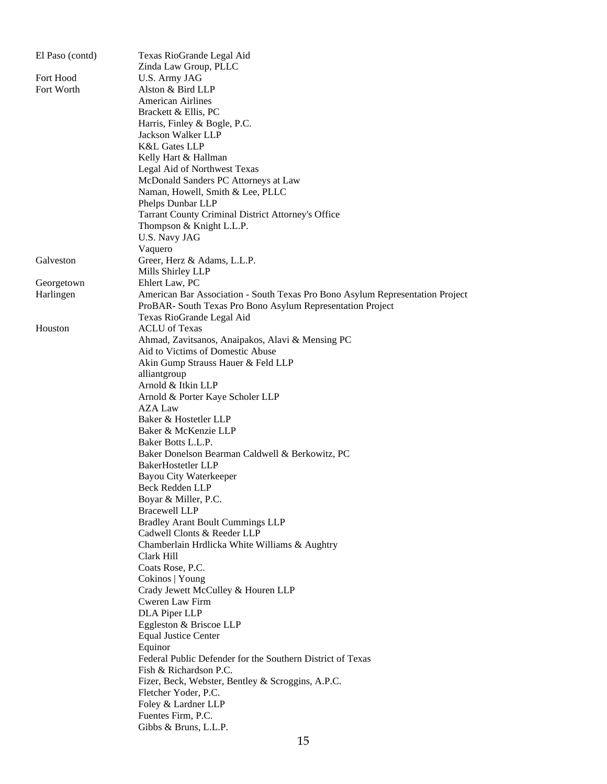| El Paso (contd) | Texas RioGrande Legal Aid                                                     |
|-----------------|-------------------------------------------------------------------------------|
|                 | Zinda Law Group, PLLC                                                         |
| Fort Hood       | U.S. Army JAG                                                                 |
| Fort Worth      | Alston & Bird LLP                                                             |
|                 | <b>American Airlines</b>                                                      |
|                 | Brackett & Ellis, PC                                                          |
|                 | Harris, Finley & Bogle, P.C.                                                  |
|                 | Jackson Walker LLP                                                            |
|                 | <b>K&amp;L Gates LLP</b>                                                      |
|                 | Kelly Hart & Hallman                                                          |
|                 | Legal Aid of Northwest Texas                                                  |
|                 | McDonald Sanders PC Attorneys at Law                                          |
|                 | Naman, Howell, Smith & Lee, PLLC                                              |
|                 | Phelps Dunbar LLP                                                             |
|                 | Tarrant County Criminal District Attorney's Office                            |
|                 | Thompson & Knight L.L.P.                                                      |
|                 | U.S. Navy JAG                                                                 |
|                 | Vaquero                                                                       |
| Galveston       | Greer, Herz & Adams, L.L.P.                                                   |
|                 | Mills Shirley LLP                                                             |
|                 | Ehlert Law, PC                                                                |
| Georgetown      |                                                                               |
| Harlingen       | American Bar Association - South Texas Pro Bono Asylum Representation Project |
|                 | ProBAR- South Texas Pro Bono Asylum Representation Project                    |
|                 | Texas RioGrande Legal Aid                                                     |
| Houston         | <b>ACLU</b> of Texas                                                          |
|                 | Ahmad, Zavitsanos, Anaipakos, Alavi & Mensing PC                              |
|                 | Aid to Victims of Domestic Abuse                                              |
|                 | Akin Gump Strauss Hauer & Feld LLP                                            |
|                 | alliantgroup                                                                  |
|                 | Arnold & Itkin LLP                                                            |
|                 | Arnold & Porter Kaye Scholer LLP                                              |
|                 | AZA Law                                                                       |
|                 | Baker & Hostetler LLP                                                         |
|                 | Baker & McKenzie LLP                                                          |
|                 | Baker Botts L.L.P.                                                            |
|                 | Baker Donelson Bearman Caldwell & Berkowitz, PC                               |
|                 | BakerHostetler LLP                                                            |
|                 | <b>Bayou City Waterkeeper</b>                                                 |
|                 | Beck Redden LLP                                                               |
|                 | Boyar & Miller, P.C.                                                          |
|                 | <b>Bracewell LLP</b>                                                          |
|                 | <b>Bradley Arant Boult Cummings LLP</b>                                       |
|                 | Cadwell Clonts & Reeder LLP                                                   |
|                 | Chamberlain Hrdlicka White Williams & Aughtry                                 |
|                 | Clark Hill                                                                    |
|                 | Coats Rose, P.C.                                                              |
|                 | Cokinos   Young                                                               |
|                 | Crady Jewett McCulley & Houren LLP                                            |
|                 | Cweren Law Firm                                                               |
|                 | DLA Piper LLP                                                                 |
|                 | Eggleston & Briscoe LLP                                                       |
|                 | <b>Equal Justice Center</b>                                                   |
|                 | Equinor                                                                       |
|                 | Federal Public Defender for the Southern District of Texas                    |
|                 | Fish & Richardson P.C.                                                        |
|                 | Fizer, Beck, Webster, Bentley & Scroggins, A.P.C.                             |
|                 | Fletcher Yoder, P.C.                                                          |
|                 | Foley & Lardner LLP                                                           |
|                 | Fuentes Firm, P.C.                                                            |
|                 | Gibbs & Bruns, L.L.P.                                                         |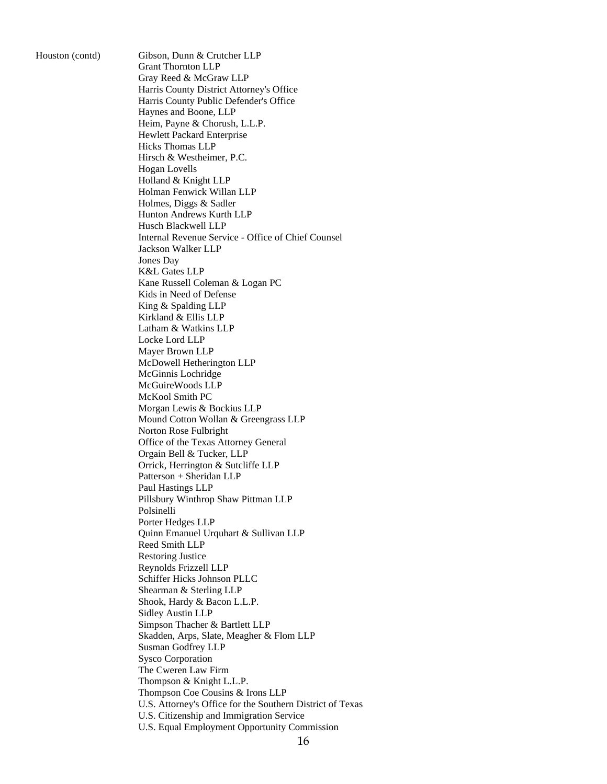Houston (contd) Gibson, Dunn & Crutcher LLP Grant Thornton LLP Gray Reed & McGraw LLP Harris County District Attorney's Office Harris County Public Defender's Office Haynes and Boone, LLP Heim, Payne & Chorush, L.L.P. Hewlett Packard Enterprise Hicks Thomas LLP Hirsch & Westheimer, P.C. Hogan Lovells Holland & Knight LLP Holman Fenwick Willan LLP Holmes, Diggs & Sadler Hunton Andrews Kurth LLP Husch Blackwell LLP Internal Revenue Service - Office of Chief Counsel Jackson Walker LLP Jones Day K&L Gates LLP Kane Russell Coleman & Logan PC Kids in Need of Defense King & Spalding LLP Kirkland & Ellis LLP Latham & Watkins LLP Locke Lord LLP Mayer Brown LLP McDowell Hetherington LLP McGinnis Lochridge McGuireWoods LLP McKool Smith PC Morgan Lewis & Bockius LLP Mound Cotton Wollan & Greengrass LLP Norton Rose Fulbright Office of the Texas Attorney General Orgain Bell & Tucker, LLP Orrick, Herrington & Sutcliffe LLP Patterson + Sheridan LLP Paul Hastings LLP Pillsbury Winthrop Shaw Pittman LLP Polsinelli Porter Hedges LLP Quinn Emanuel Urquhart & Sullivan LLP Reed Smith LLP Restoring Justice Reynolds Frizzell LLP Schiffer Hicks Johnson PLLC Shearman & Sterling LLP Shook, Hardy & Bacon L.L.P. Sidley Austin LLP Simpson Thacher & Bartlett LLP Skadden, Arps, Slate, Meagher & Flom LLP Susman Godfrey LLP Sysco Corporation The Cweren Law Firm Thompson & Knight L.L.P. Thompson Coe Cousins & Irons LLP U.S. Attorney's Office for the Southern District of Texas U.S. Citizenship and Immigration Service U.S. Equal Employment Opportunity Commission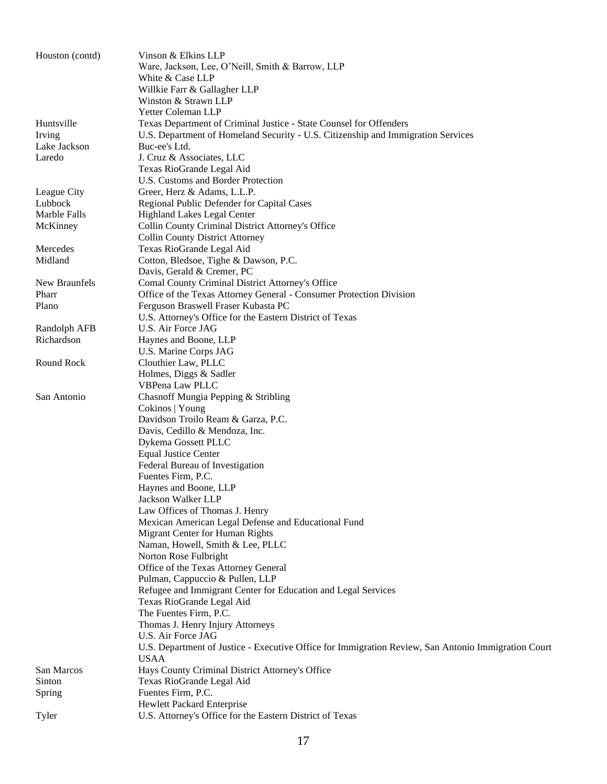| Houston (contd)            | Vinson & Elkins LLP<br>Ware, Jackson, Lee, O'Neill, Smith & Barrow, LLP<br>White & Case LLP<br>Willkie Farr & Gallagher LLP<br>Winston & Strawn LLP                          |  |
|----------------------------|------------------------------------------------------------------------------------------------------------------------------------------------------------------------------|--|
| Huntsville<br>Irving       | Yetter Coleman LLP<br>Texas Department of Criminal Justice - State Counsel for Offenders<br>U.S. Department of Homeland Security - U.S. Citizenship and Immigration Services |  |
| Lake Jackson<br>Laredo     | Buc-ee's Ltd.<br>J. Cruz & Associates, LLC<br>Texas RioGrande Legal Aid<br>U.S. Customs and Border Protection                                                                |  |
| League City                |                                                                                                                                                                              |  |
| Lubbock                    | Greer, Herz & Adams, L.L.P.                                                                                                                                                  |  |
| Marble Falls               | Regional Public Defender for Capital Cases<br>Highland Lakes Legal Center                                                                                                    |  |
| McKinney                   | Collin County Criminal District Attorney's Office                                                                                                                            |  |
|                            | <b>Collin County District Attorney</b>                                                                                                                                       |  |
| Mercedes                   |                                                                                                                                                                              |  |
| Midland                    | Texas RioGrande Legal Aid                                                                                                                                                    |  |
|                            | Cotton, Bledsoe, Tighe & Dawson, P.C.<br>Davis, Gerald & Cremer, PC                                                                                                          |  |
| New Braunfels              |                                                                                                                                                                              |  |
| Pharr                      | Comal County Criminal District Attorney's Office                                                                                                                             |  |
| Plano                      | Office of the Texas Attorney General - Consumer Protection Division<br>Ferguson Braswell Fraser Kubasta PC                                                                   |  |
|                            | U.S. Attorney's Office for the Eastern District of Texas                                                                                                                     |  |
|                            | U.S. Air Force JAG                                                                                                                                                           |  |
| Randolph AFB<br>Richardson | Haynes and Boone, LLP                                                                                                                                                        |  |
|                            | U.S. Marine Corps JAG                                                                                                                                                        |  |
| Round Rock                 | Clouthier Law, PLLC                                                                                                                                                          |  |
|                            | Holmes, Diggs & Sadler                                                                                                                                                       |  |
|                            | VBPena Law PLLC                                                                                                                                                              |  |
|                            | Chasnoff Mungia Pepping & Stribling                                                                                                                                          |  |
| San Antonio                | Cokinos   Young                                                                                                                                                              |  |
|                            | Davidson Troilo Ream & Garza, P.C.                                                                                                                                           |  |
|                            | Davis, Cedillo & Mendoza, Inc.                                                                                                                                               |  |
|                            | Dykema Gossett PLLC                                                                                                                                                          |  |
|                            | <b>Equal Justice Center</b>                                                                                                                                                  |  |
|                            | Federal Bureau of Investigation                                                                                                                                              |  |
|                            | Fuentes Firm, P.C.                                                                                                                                                           |  |
|                            | Havnes and Boone, LLP                                                                                                                                                        |  |
|                            | Jackson Walker LLP                                                                                                                                                           |  |
|                            | Law Offices of Thomas J. Henry                                                                                                                                               |  |
|                            | Mexican American Legal Defense and Educational Fund                                                                                                                          |  |
|                            | Migrant Center for Human Rights                                                                                                                                              |  |
|                            | Naman, Howell, Smith & Lee, PLLC                                                                                                                                             |  |
|                            | Norton Rose Fulbright                                                                                                                                                        |  |
|                            | Office of the Texas Attorney General                                                                                                                                         |  |
|                            | Pulman, Cappuccio & Pullen, LLP                                                                                                                                              |  |
|                            | Refugee and Immigrant Center for Education and Legal Services                                                                                                                |  |
|                            | Texas RioGrande Legal Aid                                                                                                                                                    |  |
|                            | The Fuentes Firm, P.C.                                                                                                                                                       |  |
|                            | Thomas J. Henry Injury Attorneys                                                                                                                                             |  |
|                            | U.S. Air Force JAG                                                                                                                                                           |  |
|                            | U.S. Department of Justice - Executive Office for Immigration Review, San Antonio Immigration Court                                                                          |  |
|                            | <b>USAA</b>                                                                                                                                                                  |  |
| San Marcos                 | Hays County Criminal District Attorney's Office                                                                                                                              |  |
| Sinton                     | Texas RioGrande Legal Aid                                                                                                                                                    |  |
| Spring                     | Fuentes Firm, P.C.                                                                                                                                                           |  |
|                            | Hewlett Packard Enterprise                                                                                                                                                   |  |
| Tyler                      | U.S. Attorney's Office for the Eastern District of Texas                                                                                                                     |  |